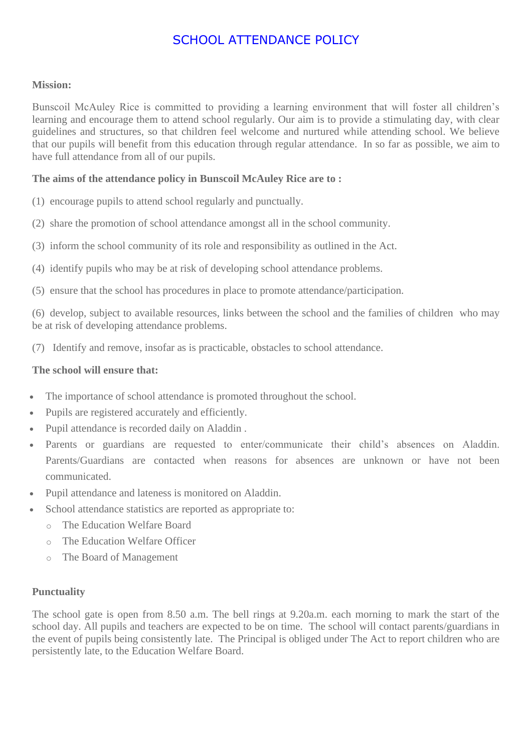# SCHOOL ATTENDANCE POLICY

#### **Mission:**

Bunscoil McAuley Rice is committed to providing a learning environment that will foster all children's learning and encourage them to attend school regularly. Our aim is to provide a stimulating day, with clear guidelines and structures, so that children feel welcome and nurtured while attending school. We believe that our pupils will benefit from this education through regular attendance. In so far as possible, we aim to have full attendance from all of our pupils.

## **The aims of the attendance policy in Bunscoil McAuley Rice are to :**

- (1) encourage pupils to attend school regularly and punctually.
- (2) share the promotion of school attendance amongst all in the school community.
- (3) inform the school community of its role and responsibility as outlined in the Act.
- (4) identify pupils who may be at risk of developing school attendance problems.
- (5) ensure that the school has procedures in place to promote attendance/participation.

(6) develop, subject to available resources, links between the school and the families of children who may be at risk of developing attendance problems.

(7) Identify and remove, insofar as is practicable, obstacles to school attendance.

#### **The school will ensure that:**

- The importance of school attendance is promoted throughout the school.
- Pupils are registered accurately and efficiently.
- Pupil attendance is recorded daily on Aladdin .
- Parents or guardians are requested to enter/communicate their child's absences on Aladdin. Parents/Guardians are contacted when reasons for absences are unknown or have not been communicated.
- Pupil attendance and lateness is monitored on Aladdin.
- School attendance statistics are reported as appropriate to:
	- o The Education Welfare Board
	- o The Education Welfare Officer
	- o The Board of Management

#### **Punctuality**

The school gate is open from 8.50 a.m. The bell rings at 9.20a.m. each morning to mark the start of the school day. All pupils and teachers are expected to be on time. The school will contact parents/guardians in the event of pupils being consistently late. The Principal is obliged under The Act to report children who are persistently late, to the Education Welfare Board.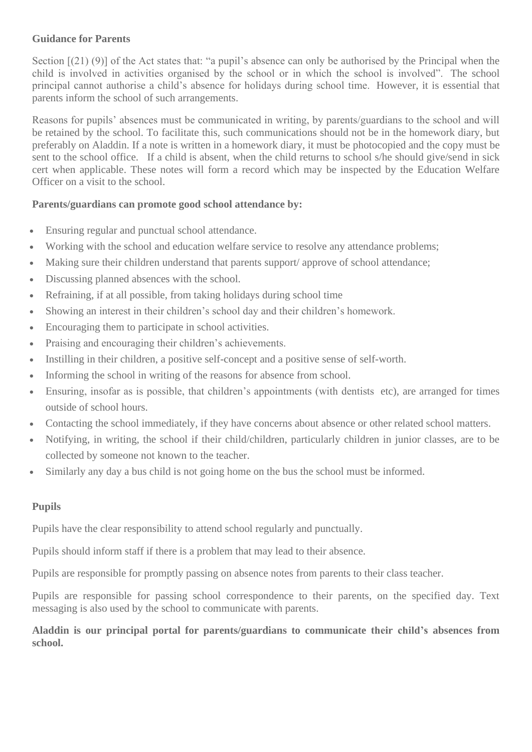## **Guidance for Parents**

Section  $(21)$  (9)] of the Act states that: "a pupil's absence can only be authorised by the Principal when the child is involved in activities organised by the school or in which the school is involved". The school principal cannot authorise a child's absence for holidays during school time. However, it is essential that parents inform the school of such arrangements.

Reasons for pupils' absences must be communicated in writing, by parents/guardians to the school and will be retained by the school. To facilitate this, such communications should not be in the homework diary, but preferably on Aladdin. If a note is written in a homework diary, it must be photocopied and the copy must be sent to the school office. If a child is absent, when the child returns to school s/he should give/send in sick cert when applicable. These notes will form a record which may be inspected by the Education Welfare Officer on a visit to the school.

# **Parents/guardians can promote good school attendance by:**

- Ensuring regular and punctual school attendance.
- Working with the school and education welfare service to resolve any attendance problems;
- Making sure their children understand that parents support/approve of school attendance;
- Discussing planned absences with the school.
- Refraining, if at all possible, from taking holidays during school time
- Showing an interest in their children's school day and their children's homework.
- Encouraging them to participate in school activities.
- Praising and encouraging their children's achievements.
- Instilling in their children, a positive self-concept and a positive sense of self-worth.
- Informing the school in writing of the reasons for absence from school.
- Ensuring, insofar as is possible, that children's appointments (with dentists etc), are arranged for times outside of school hours.
- Contacting the school immediately, if they have concerns about absence or other related school matters.
- Notifying, in writing, the school if their child/children, particularly children in junior classes, are to be collected by someone not known to the teacher.
- Similarly any day a bus child is not going home on the bus the school must be informed.

## **Pupils**

Pupils have the clear responsibility to attend school regularly and punctually.

Pupils should inform staff if there is a problem that may lead to their absence.

Pupils are responsible for promptly passing on absence notes from parents to their class teacher.

Pupils are responsible for passing school correspondence to their parents, on the specified day. Text messaging is also used by the school to communicate with parents.

**Aladdin is our principal portal for parents/guardians to communicate their child's absences from school.**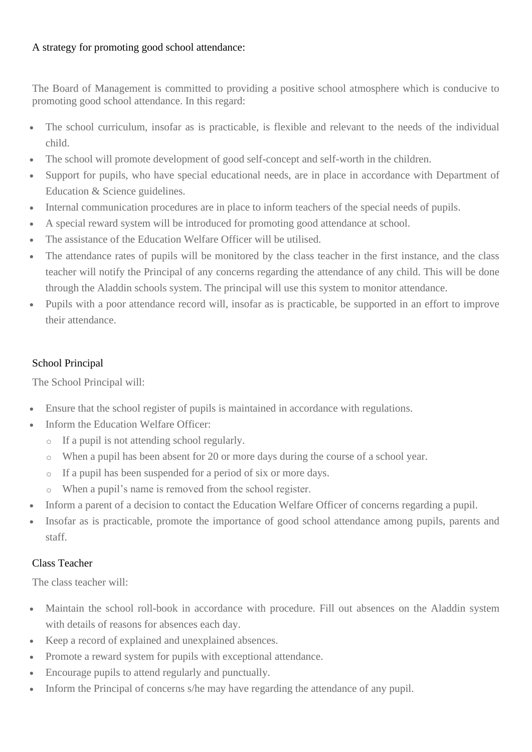# A strategy for promoting good school attendance:

The Board of Management is committed to providing a positive school atmosphere which is conducive to promoting good school attendance. In this regard:

- The school curriculum, insofar as is practicable, is flexible and relevant to the needs of the individual child.
- The school will promote development of good self-concept and self-worth in the children.
- Support for pupils, who have special educational needs, are in place in accordance with Department of Education & Science guidelines.
- Internal communication procedures are in place to inform teachers of the special needs of pupils.
- A special reward system will be introduced for promoting good attendance at school.
- The assistance of the Education Welfare Officer will be utilised.
- The attendance rates of pupils will be monitored by the class teacher in the first instance, and the class teacher will notify the Principal of any concerns regarding the attendance of any child. This will be done through the Aladdin schools system. The principal will use this system to monitor attendance.
- Pupils with a poor attendance record will, insofar as is practicable, be supported in an effort to improve their attendance.

# School Principal

The School Principal will:

- Ensure that the school register of pupils is maintained in accordance with regulations.
- Inform the Education Welfare Officer:
	- o If a pupil is not attending school regularly.
	- o When a pupil has been absent for 20 or more days during the course of a school year.
	- o If a pupil has been suspended for a period of six or more days.
	- o When a pupil's name is removed from the school register.
- Inform a parent of a decision to contact the Education Welfare Officer of concerns regarding a pupil.
- Insofar as is practicable, promote the importance of good school attendance among pupils, parents and staff.

## Class Teacher

The class teacher will:

- Maintain the school roll-book in accordance with procedure. Fill out absences on the Aladdin system with details of reasons for absences each day.
- Keep a record of explained and unexplained absences.
- Promote a reward system for pupils with exceptional attendance.
- Encourage pupils to attend regularly and punctually.
- Inform the Principal of concerns s/he may have regarding the attendance of any pupil.